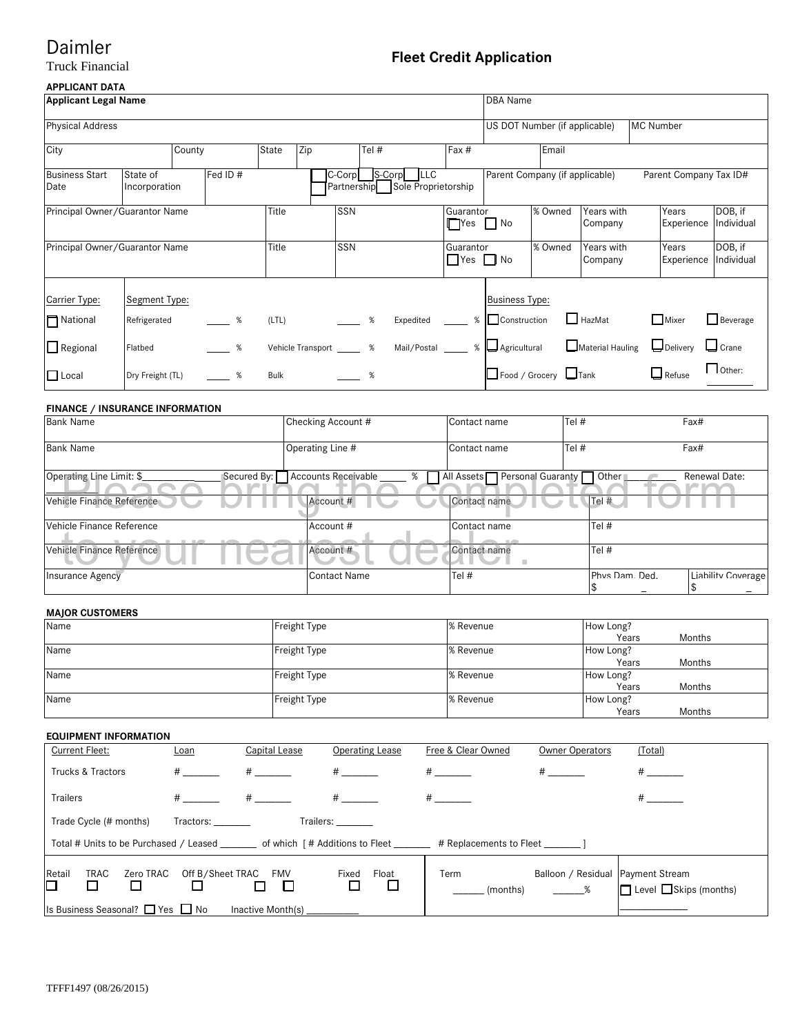# Daimler<br>Truck Financial

## **Fleet Credit Application**

### **APPLICANT DATA**

| Applicant Legal Name           |                           |        |          |             |                             |           |         |                                               |                                   | <b>DBA</b> Name       |                                |                       |           |                        |                       |
|--------------------------------|---------------------------|--------|----------|-------------|-----------------------------|-----------|---------|-----------------------------------------------|-----------------------------------|-----------------------|--------------------------------|-----------------------|-----------|------------------------|-----------------------|
| <b>Physical Address</b>        |                           |        |          |             |                             |           |         |                                               |                                   |                       | US DOT Number (if applicable)  |                       | MC Number |                        |                       |
| City                           |                           | County |          | State       | Zip                         |           | Tel $#$ |                                               | Fax#                              |                       | Email                          |                       |           |                        |                       |
| <b>Business Start</b><br>Date  | State of<br>Incorporation |        | Fed ID # |             |                             | $C$ -Corp | S-Corp  | <b>LLC</b><br>Partnership Sole Proprietorship |                                   |                       | Parent Company (if applicable) |                       |           | Parent Company Tax ID# |                       |
| Principal Owner/Guarantor Name |                           |        |          | Title       |                             | SSN       |         |                                               | Guarantor<br>$\Box$ Yes $\Box$ No |                       | % Owned                        | Years with<br>Company |           | Years<br>Experience    | DOB, if<br>Individual |
| Principal Owner/Guarantor Name |                           |        |          | Title       |                             | SSN       |         |                                               | Guarantor<br>$\Box$ Yes $\Box$ No |                       | % Owned                        | Years with<br>Company |           | Years<br>Experience    | DOB, if<br>Individual |
| Carrier Type:                  | Segment Type:             |        |          |             |                             |           |         |                                               |                                   | <b>Business Type:</b> |                                |                       |           |                        |                       |
| National                       | Refrigerated              |        | $\%$     | (LTL)       |                             |           | %       | Expedited                                     |                                   | % Construction        |                                | HazMat                |           | Mixer                  | Beverage              |
| $\Box$ Regional                | Flatbed                   |        | $\sim$ % |             | Vehicle Transport _______ % |           |         | Mail/Postal _____ %  __ Agricultural          |                                   |                       |                                | Material Hauling      |           | $\Box$ Delivery        | $\Box$ Crane          |
| $\Box$ Local                   | Dry Freight (TL)          |        | $\%$     | <b>Bulk</b> |                             |           | %       |                                               |                                   |                       | Food / Grocery Tank            |                       |           | $\Box$ Refuse          | $\Box$ Other:         |

#### **FINANCE / INSURANCE INFORMATION**

| <b>Bank Name</b>          |             | Checking Account #       | Contact name                 | Tel #     |                | Fax#                    |
|---------------------------|-------------|--------------------------|------------------------------|-----------|----------------|-------------------------|
| <b>Bank Name</b>          |             | Operating Line #         | Contact name                 | Tel #     |                | Fax#                    |
| Operating Line Limit: \$  | Secured By: | Accounts Receivable<br>% | All Assets Personal Guaranty | ¶ Other ∎ |                | Renewal Date:<br>a veze |
| Vehicle Finance Reference |             | Account #                | Contact name                 | Tel $#$   |                |                         |
| Vehicle Finance Reference |             | Account #                | Contact name                 | Tel #     |                |                         |
| Vehicle Finance Reference |             | Account #                | Contact name                 | Tel #     |                |                         |
| Insurance Agency          |             | <b>Contact Name</b>      | Tel $#$                      |           | Phys Dam. Ded. | Liability Coverage      |

### **MAJOR CUSTOMERS**

| Name | Freight Type | % Revenue | How Long? |        |
|------|--------------|-----------|-----------|--------|
|      |              |           | Years     | Months |
| Name | Freight Type | % Revenue | How Long? |        |
|      |              |           | Years     | Months |
| Name | Freight Type | % Revenue | How Long? |        |
|      |              |           | Years     | Months |
| Name | Freight Type | % Revenue | How Long? |        |
|      |              |           | Years     | Months |

#### **EQUIPMENT INFORMATION**

| Current Fleet:                                                                                                           | <u>Loan</u>      | Capital Lease | Operating Lease | Free & Clear Owned | <b>Owner Operators</b>              | (Total)                            |
|--------------------------------------------------------------------------------------------------------------------------|------------------|---------------|-----------------|--------------------|-------------------------------------|------------------------------------|
| Trucks & Tractors                                                                                                        | $\#$ and $\#$    | $\#$ and $\#$ | $\#$ and $\#$   | $\#$ and $\#$      | $\#$ and $\#$                       | $\#$ and $\#$                      |
| <b>Trailers</b>                                                                                                          | $#$ and $*$      | $\#$ and $\#$ | $\#$ and $\#$   |                    |                                     |                                    |
| Trade Cycle (# months)<br>Tractors: ________<br>Trailers: Trailers                                                       |                  |               |                 |                    |                                     |                                    |
| Total # Units to be Purchased / Leased ________ of which [# Additions to Fleet _______ # Replacements to Fleet _______ ] |                  |               |                 |                    |                                     |                                    |
| Retail<br>Zero TRAC<br>TRAC<br>⊡                                                                                         | Off B/Sheet TRAC | FMV           | Float<br>Fixed  | Term<br>(months)   | Balloon / Residual   Payment Stream | $\Box$ Level $\Box$ Skips (months) |
| Is Business Seasonal? $\Box$ Yes $\Box$ No<br>Inactive Month(s)                                                          |                  |               |                 |                    |                                     |                                    |